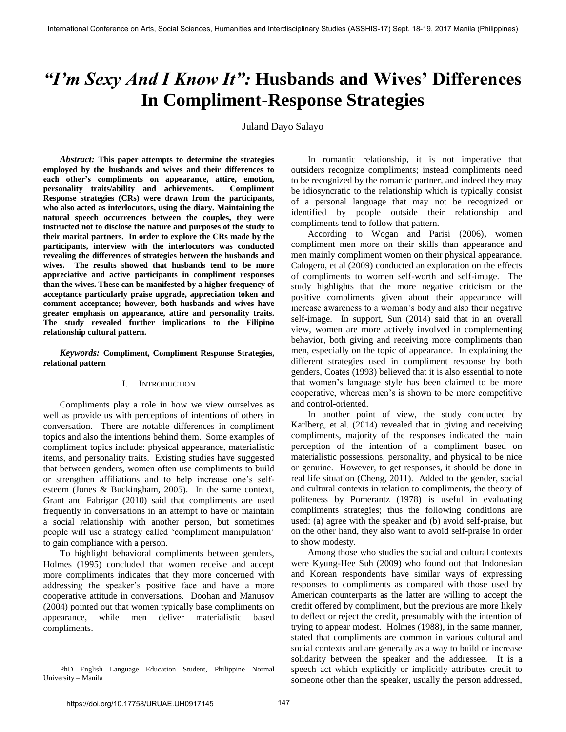# *"I'm Sexy And I Know It":* **Husbands and Wives' Differences In Compliment-Response Strategies**

Juland Dayo Salayo

*Abstract:* **This paper attempts to determine the strategies employed by the husbands and wives and their differences to each other's compliments on appearance, attire, emotion, personality traits/ability and achievements. Compliment Response strategies (CRs) were drawn from the participants, who also acted as interlocutors, using the diary. Maintaining the natural speech occurrences between the couples, they were instructed not to disclose the nature and purposes of the study to their marital partners. In order to explore the CRs made by the participants, interview with the interlocutors was conducted revealing the differences of strategies between the husbands and wives. The results showed that husbands tend to be more appreciative and active participants in compliment responses than the wives. These can be manifested by a higher frequency of acceptance particularly praise upgrade, appreciation token and comment acceptance; however, both husbands and wives have greater emphasis on appearance, attire and personality traits. The study revealed further implications to the Filipino relationship cultural pattern.** 

*Keywords:* **Compliment, Compliment Response Strategies, relational pattern**

#### I. INTRODUCTION

Compliments play a role in how we view ourselves as well as provide us with perceptions of intentions of others in conversation. There are notable differences in compliment topics and also the intentions behind them. Some examples of compliment topics include: physical appearance, materialistic items, and personality traits. Existing studies have suggested that between genders, women often use compliments to build or strengthen affiliations and to help increase one"s selfesteem (Jones & Buckingham, 2005). In the same context, Grant and Fabrigar (2010) said that compliments are used frequently in conversations in an attempt to have or maintain a social relationship with another person, but sometimes people will use a strategy called "compliment manipulation" to gain compliance with a person.

To highlight behavioral compliments between genders, Holmes (1995) concluded that women receive and accept more compliments indicates that they more concerned with addressing the speaker"s positive face and have a more cooperative attitude in conversations. Doohan and Manusov (2004) pointed out that women typically base compliments on appearance, while men deliver materialistic based compliments.

PhD English Language Education Student, Philippine Normal University – Manila

In romantic relationship, it is not imperative that outsiders recognize compliments; instead compliments need to be recognized by the romantic partner, and indeed they may be idiosyncratic to the relationship which is typically consist of a personal language that may not be recognized or identified by people outside their relationship and compliments tend to follow that pattern.

According to Wogan and Parisi (2006)**,** women compliment men more on their skills than appearance and men mainly compliment women on their physical appearance. Calogero, et al (2009) conducted an exploration on the effects of compliments to women self-worth and self-image. The study highlights that the more negative criticism or the positive compliments given about their appearance will increase awareness to a woman"s body and also their negative self-image. In support, Sun (2014) said that in an overall view, women are more actively involved in complementing behavior, both giving and receiving more compliments than men, especially on the topic of appearance. In explaining the different strategies used in compliment response by both genders, Coates (1993) believed that it is also essential to note that women"s language style has been claimed to be more cooperative, whereas men"s is shown to be more competitive and control-oriented.

In another point of view, the study conducted by Karlberg, et al. (2014) revealed that in giving and receiving compliments, majority of the responses indicated the main perception of the intention of a compliment based on materialistic possessions, personality, and physical to be nice or genuine. However, to get responses, it should be done in real life situation (Cheng, 2011). Added to the gender, social and cultural contexts in relation to compliments, the theory of politeness by Pomerantz (1978) is useful in evaluating compliments strategies; thus the following conditions are used: (a) agree with the speaker and (b) avoid self-praise, but on the other hand, they also want to avoid self-praise in order to show modesty.

Among those who studies the social and cultural contexts were Kyung-Hee Suh (2009) who found out that Indonesian and Korean respondents have similar ways of expressing responses to compliments as compared with those used by American counterparts as the latter are willing to accept the credit offered by compliment, but the previous are more likely to deflect or reject the credit, presumably with the intention of trying to appear modest. Holmes (1988), in the same manner, stated that compliments are common in various cultural and social contexts and are generally as a way to build or increase solidarity between the speaker and the addressee.It is a speech act which explicitly or implicitly attributes credit to someone other than the speaker, usually the person addressed,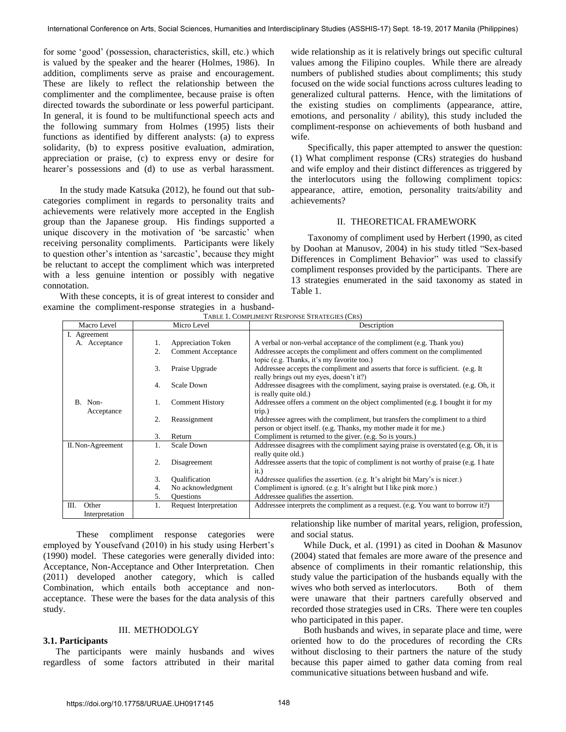for some "good" (possession, characteristics, skill, etc.) which is valued by the speaker and the hearer (Holmes, 1986).In addition, compliments serve as praise and encouragement. These are likely to reflect the relationship between the complimenter and the complimentee, because praise is often directed towards the subordinate or less powerful participant. In general, it is found to be multifunctional speech acts and the following summary from Holmes (1995) lists their functions as identified by different analysts: (a) to express solidarity, (b) to express positive evaluation, admiration, appreciation or praise, (c) to express envy or desire for hearer's possessions and (d) to use as verbal harassment.

In the study made Katsuka (2012), he found out that subcategories compliment in regards to personality traits and achievements were relatively more accepted in the English group than the Japanese group. His findings supported a unique discovery in the motivation of 'be sarcastic' when receiving personality compliments. Participants were likely to question other"s intention as "sarcastic", because they might be reluctant to accept the compliment which was interpreted with a less genuine intention or possibly with negative connotation.

With these concepts, it is of great interest to consider and examine the compliment-response strategies in a husbandwide relationship as it is relatively brings out specific cultural values among the Filipino couples. While there are already numbers of published studies about compliments; this study focused on the wide social functions across cultures leading to generalized cultural patterns. Hence, with the limitations of the existing studies on compliments (appearance, attire, emotions, and personality / ability), this study included the compliment-response on achievements of both husband and wife.

Specifically, this paper attempted to answer the question: (1) What compliment response (CRs) strategies do husband and wife employ and their distinct differences as triggered by the interlocutors using the following compliment topics: appearance, attire, emotion, personality traits/ability and achievements?

#### II. THEORETICAL FRAMEWORK

Taxonomy of compliment used by Herbert (1990, as cited by Doohan at Manusov, 2004) in his study titled "Sex-based Differences in Compliment Behavior" was used to classify compliment responses provided by the participants. There are 13 strategies enumerated in the said taxonomy as stated in Table 1.

| Macro Level           |                          | Micro Level               | Description                                                                                                                                        |  |  |  |  |
|-----------------------|--------------------------|---------------------------|----------------------------------------------------------------------------------------------------------------------------------------------------|--|--|--|--|
| I. Agreement          |                          |                           |                                                                                                                                                    |  |  |  |  |
| A. Acceptance         | Appreciation Token<br>1. |                           | A verbal or non-verbal acceptance of the compliment (e.g. Thank you)                                                                               |  |  |  |  |
|                       | 2.                       | <b>Comment Acceptance</b> | Addressee accepts the compliment and offers comment on the complimented<br>topic (e.g. Thanks, it's my favorite too.)                              |  |  |  |  |
|                       | 3.                       | Praise Upgrade            | Addressee accepts the compliment and asserts that force is sufficient. (e.g. It<br>really brings out my eyes, doesn't it?)                         |  |  |  |  |
|                       | 4.                       | Scale Down                | Addressee disagrees with the compliment, saying praise is overstated. (e.g. Oh, it<br>is really quite old.)                                        |  |  |  |  |
| B. Non-<br>Acceptance |                          | <b>Comment History</b>    | Addressee offers a comment on the object complimented (e.g. I bought it for my<br>trip.)                                                           |  |  |  |  |
|                       | 2.                       | Reassignment              | Addressee agrees with the compliment, but transfers the compliment to a third<br>person or object itself. (e.g. Thanks, my mother made it for me.) |  |  |  |  |
|                       | 3.                       | Return                    | Compliment is returned to the giver. (e.g. So is yours.)                                                                                           |  |  |  |  |
| II. Non-Agreement     | 1.                       | Scale Down                | Addressee disagrees with the compliment saying praise is overstated (e.g. Oh, it is                                                                |  |  |  |  |
|                       |                          |                           | really quite old.)                                                                                                                                 |  |  |  |  |
|                       | 2.                       | Disagreement              | Addressee asserts that the topic of compliment is not worthy of praise (e.g. I hate                                                                |  |  |  |  |
|                       |                          |                           | it.)                                                                                                                                               |  |  |  |  |
|                       | 3.                       | Qualification             | Addressee qualifies the assertion. (e.g. It's alright bit Mary's is nicer.)                                                                        |  |  |  |  |
|                       | 4.                       | No acknowledgment         | Compliment is ignored. (e.g. It's alright but I like pink more.)                                                                                   |  |  |  |  |
|                       | 5.                       | <b>Questions</b>          | Addressee qualifies the assertion.                                                                                                                 |  |  |  |  |
| Ш.<br>Other           | 1.                       | Request Interpretation    | Addressee interprets the compliment as a request. (e.g. You want to borrow it?)                                                                    |  |  |  |  |
| Interpretation        |                          |                           |                                                                                                                                                    |  |  |  |  |

TABLE 1. COMPLIMENT RESPONSE STRATEGIES (CRS)

These compliment response categories were employed by Yousefvand (2010) in his study using Herbert's (1990) model. These categories were generally divided into: Acceptance, Non-Acceptance and Other Interpretation. Chen (2011) developed another category, which is called Combination, which entails both acceptance and nonacceptance. These were the bases for the data analysis of this study.

# III. METHODOLGY

## **3.1. Participants**

The participants were mainly husbands and wives regardless of some factors attributed in their marital relationship like number of marital years, religion, profession, and social status.

While Duck, et al. (1991) as cited in Doohan & Masunov (2004) stated that females are more aware of the presence and absence of compliments in their romantic relationship, this study value the participation of the husbands equally with the wives who both served as interlocutors. Both of them were unaware that their partners carefully observed and recorded those strategies used in CRs. There were ten couples who participated in this paper.

Both husbands and wives, in separate place and time, were oriented how to do the procedures of recording the CRs without disclosing to their partners the nature of the study because this paper aimed to gather data coming from real communicative situations between husband and wife.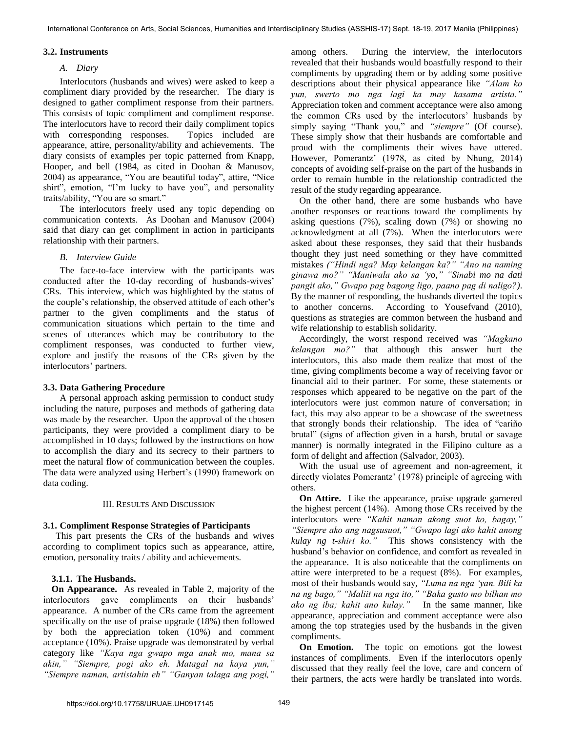## **3.2. Instruments**

## *A. Diary*

Interlocutors (husbands and wives) were asked to keep a compliment diary provided by the researcher. The diary is designed to gather compliment response from their partners. This consists of topic compliment and compliment response. The interlocutors have to record their daily compliment topics with corresponding responses. Topics included are appearance, attire, personality/ability and achievements. The diary consists of examples per topic patterned from Knapp, Hooper, and bell (1984, as cited in Doohan & Manusov, 2004) as appearance, "You are beautiful today", attire, "Nice shirt", emotion, "I'm lucky to have you", and personality traits/ability, "You are so smart."

The interlocutors freely used any topic depending on communication contexts. As Doohan and Manusov (2004) said that diary can get compliment in action in participants relationship with their partners.

### *B. Interview Guide*

The face-to-face interview with the participants was conducted after the 10-day recording of husbands-wives' CRs. This interview, which was highlighted by the status of the couple"s relationship, the observed attitude of each other"s partner to the given compliments and the status of communication situations which pertain to the time and scenes of utterances which may be contributory to the compliment responses, was conducted to further view, explore and justify the reasons of the CRs given by the interlocutors' partners.

#### **3.3. Data Gathering Procedure**

A personal approach asking permission to conduct study including the nature, purposes and methods of gathering data was made by the researcher. Upon the approval of the chosen participants, they were provided a compliment diary to be accomplished in 10 days; followed by the instructions on how to accomplish the diary and its secrecy to their partners to meet the natural flow of communication between the couples. The data were analyzed using Herbert's (1990) framework on data coding.

#### III. RESULTS AND DISCUSSION

## **3.1. Compliment Response Strategies of Participants**

This part presents the CRs of the husbands and wives according to compliment topics such as appearance, attire, emotion, personality traits / ability and achievements.

## **3.1.1. The Husbands.**

**On Appearance.** As revealed in Table 2, majority of the interlocutors gave compliments on their husbands' appearance. A number of the CRs came from the agreement specifically on the use of praise upgrade (18%) then followed by both the appreciation token (10%) and comment acceptance (10%). Praise upgrade was demonstrated by verbal category like *"Kaya nga gwapo mga anak mo, mana sa akin," "Siempre, pogi ako eh. Matagal na kaya yun," "Siempre naman, artistahin eh" "Ganyan talaga ang pogi,"*  among others. During the interview, the interlocutors revealed that their husbands would boastfully respond to their compliments by upgrading them or by adding some positive descriptions about their physical appearance like *"Alam ko yun, swerto mo nga lagi ka may kasama artista."* Appreciation token and comment acceptance were also among the common CRs used by the interlocutors' husbands by simply saying "Thank you," and *"siempre"* (Of course). These simply show that their husbands are comfortable and proud with the compliments their wives have uttered. However, Pomerantz' (1978, as cited by Nhung, 2014) concepts of avoiding self-praise on the part of the husbands in order to remain humble in the relationship contradicted the result of the study regarding appearance.

On the other hand, there are some husbands who have another responses or reactions toward the compliments by asking questions (7%), scaling down (7%) or showing no acknowledgment at all (7%). When the interlocutors were asked about these responses, they said that their husbands thought they just need something or they have committed mistakes *("Hindi nga? May kelangan ka?" "Ano na naming ginawa mo?" "Maniwala ako sa "yo," "Sinabi mo na dati pangit ako," Gwapo pag bagong ligo, paano pag di naligo?)*. By the manner of responding, the husbands diverted the topics to another concerns. According to Yousefvand (2010), questions as strategies are common between the husband and wife relationship to establish solidarity.

Accordingly, the worst respond received was *"Magkano kelangan mo?"* that although this answer hurt the interlocutors, this also made them realize that most of the time, giving compliments become a way of receiving favor or financial aid to their partner. For some, these statements or responses which appeared to be negative on the part of the interlocutors were just common nature of conversation; in fact, this may also appear to be a showcase of the sweetness that strongly bonds their relationship. The idea of "cariño brutal" (signs of affection given in a harsh, brutal or savage manner) is normally integrated in the Filipino culture as a form of delight and affection (Salvador, 2003).

With the usual use of agreement and non-agreement, it directly violates Pomerantz' (1978) principle of agreeing with others.

**On Attire.** Like the appearance, praise upgrade garnered the highest percent (14%). Among those CRs received by the interlocutors were *"Kahit naman akong suot ko, bagay," "Siempre ako ang nagsusuot," "Gwapo lagi ako kahit anong kulay ng t-shirt ko."* This shows consistency with the husband's behavior on confidence, and comfort as revealed in the appearance. It is also noticeable that the compliments on attire were interpreted to be a request (8%). For examples, most of their husbands would say, *"Luma na nga "yan. Bili ka na ng bago," "Maliit na nga ito," "Baka gusto mo bilhan mo ako ng iba; kahit ano kulay."* In the same manner, like appearance, appreciation and comment acceptance were also among the top strategies used by the husbands in the given compliments.

**On Emotion.** The topic on emotions got the lowest instances of compliments. Even if the interlocutors openly discussed that they really feel the love, care and concern of their partners, the acts were hardly be translated into words.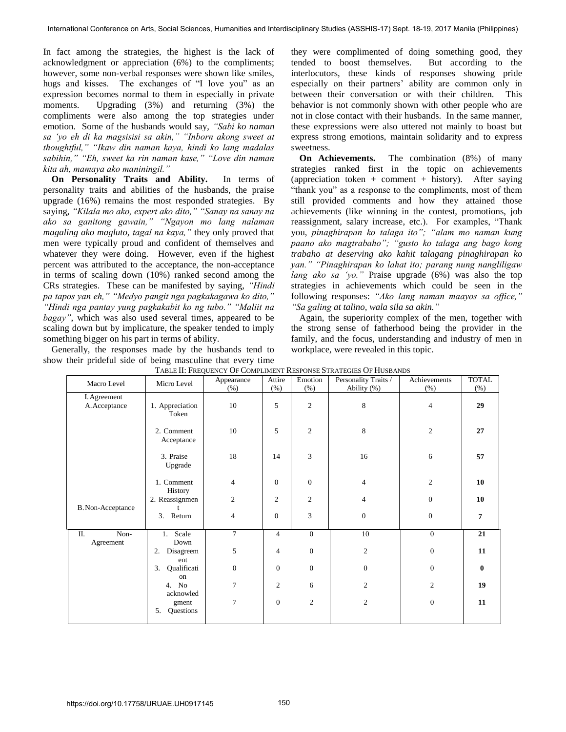In fact among the strategies, the highest is the lack of acknowledgment or appreciation (6%) to the compliments; however, some non-verbal responses were shown like smiles, hugs and kisses. The exchanges of "I love you" as an expression becomes normal to them in especially in private moments. Upgrading (3%) and returning (3%) the compliments were also among the top strategies under emotion. Some of the husbands would say, *"Sabi ko naman sa "yo eh di ka magsisisi sa akin," "Inborn akong sweet at thoughtful," "Ikaw din naman kaya, hindi ko lang madalas sabihin," "Eh, sweet ka rin naman kase," "Love din naman kita ah, mamaya ako maniningil."*

**On Personality Traits and Ability.** In terms of personality traits and abilities of the husbands, the praise upgrade (16%) remains the most responded strategies. By saying, *"Kilala mo ako, expert ako dito," "Sanay na sanay na ako sa ganitong gawain," "Ngayon mo lang nalaman magaling ako magluto, tagal na kaya,"* they only proved that men were typically proud and confident of themselves and whatever they were doing. However, even if the highest percent was attributed to the acceptance, the non-acceptance in terms of scaling down (10%) ranked second among the CRs strategies. These can be manifested by saying, *"Hindi pa tapos yan eh," "Medyo pangit nga pagkakagawa ko dito," "Hindi nga pantay yung pagkakabit ko ng tubo." "Maliit na bagay"*, which was also used several times, appeared to be scaling down but by implicature, the speaker tended to imply something bigger on his part in terms of ability.

Generally, the responses made by the husbands tend to show their prideful side of being masculine that every time they were complimented of doing something good, they tended to boost themselves. But according to the interlocutors, these kinds of responses showing pride especially on their partners' ability are common only in between their conversation or with their children. This behavior is not commonly shown with other people who are not in close contact with their husbands. In the same manner, these expressions were also uttered not mainly to boast but express strong emotions, maintain solidarity and to express sweetness.

**On Achievements.** The combination (8%) of many strategies ranked first in the topic on achievements (appreciation token + comment + history). After saying "thank you" as a response to the compliments, most of them still provided comments and how they attained those achievements (like winning in the contest, promotions, job reassignment, salary increase, etc.). For examples, "Thank you, *pinaghirapan ko talaga ito"; "alam mo naman kung paano ako magtrabaho"; "gusto ko talaga ang bago kong trabaho at deserving ako kahit talagang pinaghirapan ko yan." "Pinaghirapan ko lahat ito; parang nung nangliligaw lang ako sa "yo."* Praise upgrade (6%) was also the top strategies in achievements which could be seen in the following responses: *"Ako lang naman maayos sa office," "Sa galing at talino, wala sila sa akin."* 

Again, the superiority complex of the men, together with the strong sense of fatherhood being the provider in the family, and the focus, understanding and industry of men in workplace, were revealed in this topic.

| Macro Level                   | Micro Level                           | Appearance<br>$(\% )$ | Attire<br>(% ) | Emotion<br>(% )  | Personality Traits /<br>Ability (%) | Achievements<br>(% ) | <b>TOTAL</b><br>(% ) |
|-------------------------------|---------------------------------------|-----------------------|----------------|------------------|-------------------------------------|----------------------|----------------------|
| I. Agreement<br>A. Acceptance | 1. Appreciation<br>Token              | 10                    | 5              | $\overline{c}$   | 8                                   | $\overline{4}$       | 29                   |
|                               | 2. Comment<br>Acceptance              | 10                    | 5              | $\overline{c}$   | 8                                   | $\overline{c}$       | 27                   |
|                               | 3. Praise<br>Upgrade                  | 18                    | 14             | 3                | 16                                  | 6                    | 57                   |
|                               | 1. Comment<br>History                 | $\overline{4}$        | $\overline{0}$ | $\mathbf{0}$     | $\overline{4}$                      | $\overline{c}$       | 10                   |
| B. Non-Acceptance             | 2. Reassignmen                        | $\overline{c}$        | $\overline{c}$ | $\overline{2}$   | $\overline{4}$                      | $\mathbf{0}$         | 10                   |
|                               | 3. Return                             | 4                     | 0              | 3                | $\mathbf{0}$                        | $\overline{0}$       | $\overline{7}$       |
| Non-<br>П.<br>Agreement       | Scale<br>1.<br>Down                   | $\tau$                | $\overline{4}$ | $\mathbf{0}$     | 10                                  | $\overline{0}$       | 21                   |
|                               | 2.<br>Disagreem<br>ent                | 5                     | $\overline{4}$ | $\overline{0}$   | $\overline{2}$                      | $\overline{0}$       | 11                   |
|                               | Qualificati<br>3.<br>on               | $\overline{0}$        | $\mathbf{0}$   | $\boldsymbol{0}$ | $\overline{0}$                      | $\mathbf{0}$         | $\mathbf{0}$         |
|                               | 4. No                                 | 7                     | $\overline{c}$ | 6                | $\mathbf{2}$                        | $\overline{2}$       | 19                   |
|                               | acknowled<br>gment<br>5.<br>Questions | 7                     | $\mathbf{0}$   | $\mathfrak{2}$   | $\mathbf{2}$                        | $\overline{0}$       | 11                   |

TABLE II: FREQUENCY OF COMPLIMENT RESPONSE STRATEGIES OF HUSBANDS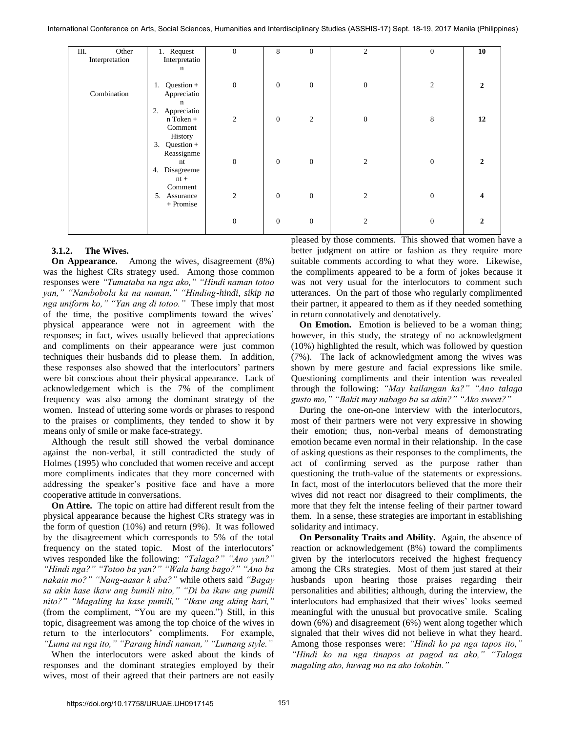International Conference on Arts, Social Sciences, Humanities and Interdisciplinary Studies (ASSHIS-17) Sept. 18-19, 2017 Manila (Philippines)

| Ш.<br>Other    | 1. Request        | $\mathbf{0}$   | 8                | $\mathbf{0}$   | $\mathfrak{2}$ | $\overline{0}$ | 10             |
|----------------|-------------------|----------------|------------------|----------------|----------------|----------------|----------------|
| Interpretation | Interpretatio     |                |                  |                |                |                |                |
|                | $\mathbf n$       |                |                  |                |                |                |                |
|                |                   |                |                  |                |                |                |                |
|                | Question +<br>1.  | $\mathbf{0}$   | $\mathbf{0}$     | $\overline{0}$ | $\mathbf{0}$   | $\overline{2}$ | $\mathbf{2}$   |
| Combination    | Appreciatio       |                |                  |                |                |                |                |
|                | n                 |                |                  |                |                |                |                |
|                | Appreciatio<br>2. |                |                  |                |                |                |                |
|                | n Token +         | $\mathbf{2}$   | $\boldsymbol{0}$ | $\mathbf{2}$   | $\mathbf{0}$   | 8              | 12             |
|                | Comment           |                |                  |                |                |                |                |
|                | History           |                |                  |                |                |                |                |
|                | Question +<br>3.  |                |                  |                |                |                |                |
|                | Reassignme        |                |                  |                |                |                |                |
|                | nt                | $\mathbf{0}$   | $\mathbf{0}$     | $\overline{0}$ | $\overline{2}$ | $\theta$       | $\mathfrak{D}$ |
|                | Disagreeme<br>4.  |                |                  |                |                |                |                |
|                | $nt +$            |                |                  |                |                |                |                |
|                | Comment           |                |                  |                |                |                |                |
|                | Assurance<br>5.   | $\mathfrak{2}$ | $\boldsymbol{0}$ | $\mathbf{0}$   | $\mathfrak{2}$ | $\overline{0}$ |                |
|                | + Promise         |                |                  |                |                |                |                |
|                |                   |                |                  |                |                |                |                |
|                |                   | $\mathbf{0}$   | $\boldsymbol{0}$ | $\mathbf{0}$   | 2              | $\overline{0}$ | 2              |
|                |                   |                |                  |                |                |                |                |
|                |                   |                |                  |                |                |                |                |

## **3.1.2. The Wives.**

**On Appearance.** Among the wives, disagreement (8%) was the highest CRs strategy used. Among those common responses were *"Tumataba na nga ako," "Hindi naman totoo yan," "Nambobola ka na naman," "Hinding-hindi, sikip na nga uniform ko," "Yan ang di totoo."* These imply that most of the time, the positive compliments toward the wives" physical appearance were not in agreement with the responses; in fact, wives usually believed that appreciations and compliments on their appearance were just common techniques their husbands did to please them. In addition, these responses also showed that the interlocutors" partners were bit conscious about their physical appearance. Lack of acknowledgement which is the 7% of the compliment frequency was also among the dominant strategy of the women. Instead of uttering some words or phrases to respond to the praises or compliments, they tended to show it by means only of smile or make face-strategy.

Although the result still showed the verbal dominance against the non-verbal, it still contradicted the study of Holmes (1995) who concluded that women receive and accept more compliments indicates that they more concerned with addressing the speaker"s positive face and have a more cooperative attitude in conversations.

**On Attire.** The topic on attire had different result from the physical appearance because the highest CRs strategy was in the form of question (10%) and return (9%). It was followed by the disagreement which corresponds to 5% of the total frequency on the stated topic. Most of the interlocutors' wives responded like the following: *"Talaga?" "Ano yun?" "Hindi nga?" "Totoo ba yan?" "Wala bang bago?" "Ano ba nakain mo?" "Nang-aasar k aba?"* while others said *"Bagay sa akin kase ikaw ang bumili nito," "Di ba ikaw ang pumili nito?" "Magaling ka kase pumili," "Ikaw ang aking hari,"*  (from the compliment, "You are my queen.") Still, in this topic, disagreement was among the top choice of the wives in return to the interlocutors' compliments. For example, *"Luma na nga ito," "Parang hindi naman," "Lumang style."*

When the interlocutors were asked about the kinds of responses and the dominant strategies employed by their wives, most of their agreed that their partners are not easily

pleased by those comments. This showed that women have a better judgment on attire or fashion as they require more suitable comments according to what they wore. Likewise, the compliments appeared to be a form of jokes because it was not very usual for the interlocutors to comment such utterances. On the part of those who regularly complimented their partner, it appeared to them as if they needed something in return connotatively and denotatively.

**On Emotion.** Emotion is believed to be a woman thing; however, in this study, the strategy of no acknowledgment (10%) highlighted the result, which was followed by question (7%). The lack of acknowledgment among the wives was shown by mere gesture and facial expressions like smile. Questioning compliments and their intention was revealed through the following: *"May kailangan ka?" "Ano talaga gusto mo," "Bakit may nabago ba sa akin?" "Ako sweet?"*

During the one-on-one interview with the interlocutors, most of their partners were not very expressive in showing their emotion; thus, non-verbal means of demonstrating emotion became even normal in their relationship. In the case of asking questions as their responses to the compliments, the act of confirming served as the purpose rather than questioning the truth-value of the statements or expressions. In fact, most of the interlocutors believed that the more their wives did not react nor disagreed to their compliments, the more that they felt the intense feeling of their partner toward them. In a sense, these strategies are important in establishing solidarity and intimacy.

**On Personality Traits and Ability.** Again, the absence of reaction or acknowledgement (8%) toward the compliments given by the interlocutors received the highest frequency among the CRs strategies. Most of them just stared at their husbands upon hearing those praises regarding their personalities and abilities; although, during the interview, the interlocutors had emphasized that their wives' looks seemed meaningful with the unusual but provocative smile. Scaling down (6%) and disagreement (6%) went along together which signaled that their wives did not believe in what they heard. Among those responses were: *"Hindi ko pa nga tapos ito," "Hindi ko na nga tinapos at pagod na ako," "Talaga magaling ako, huwag mo na ako lokohin."*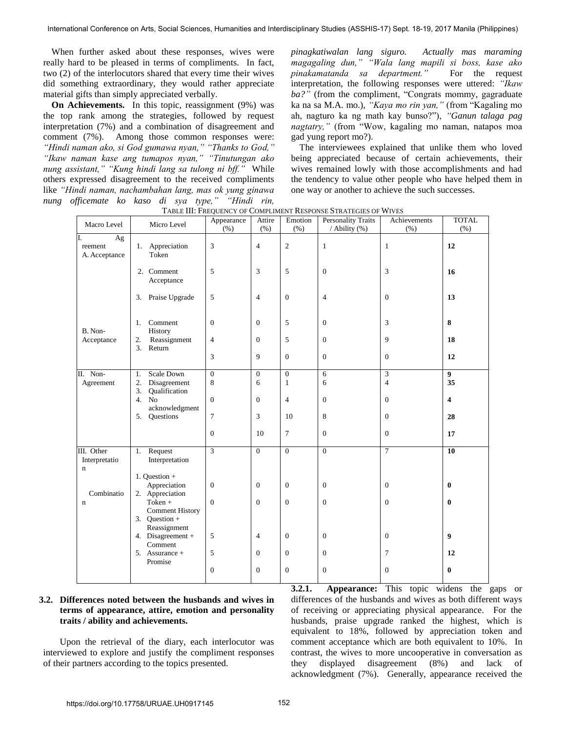When further asked about these responses, wives were really hard to be pleased in terms of compliments. In fact, two (2) of the interlocutors shared that every time their wives did something extraordinary, they would rather appreciate material gifts than simply appreciated verbally.

**On Achievements.** In this topic, reassignment (9%) was the top rank among the strategies, followed by request interpretation (7%) and a combination of disagreement and comment (7%). Among those common responses were: *"Hindi naman ako, si God gumawa nyan," "Thanks to God," "Ikaw naman kase ang tumapos nyan," "Tinutungan ako nung assistant," "Kung hindi lang sa tulong ni bff."* While others expressed disagreement to the received compliments like *"Hindi naman, nachambahan lang, mas ok yung ginawa nung officemate ko kaso di sya type," "Hindi rin,* 

*pinagkatiwalan lang siguro. Actually mas maraming magagaling dun," "Wala lang mapili si boss, kase ako pinakamatanda sa department."* For the request interpretation, the following responses were uttered: *"Ikaw ba?"* (from the compliment, "Congrats mommy, gagraduate ka na sa M.A. mo.), *"Kaya mo rin yan,"* (from "Kagaling mo ah, nagturo ka ng math kay bunso?"), *"Ganun talaga pag nagtatry,"* (from "Wow, kagaling mo naman, natapos moa gad yung report mo?).

The interviewees explained that unlike them who loved being appreciated because of certain achievements, their wives remained lowly with those accomplishments and had the tendency to value other people who have helped them in one way or another to achieve the such successes.

| Macro Level                                | Micro Level                                       | Appearance<br>(% ) | Attire<br>(% ) | Emotion<br>(% )  | <b>Personality Traits</b><br>/ Ability (%) | Achievements<br>(% ) | <b>TOTAL</b><br>(% )    |
|--------------------------------------------|---------------------------------------------------|--------------------|----------------|------------------|--------------------------------------------|----------------------|-------------------------|
| Ag<br>reement<br>A. Acceptance             | Appreciation<br>1.<br>Token                       | 3                  | $\overline{4}$ | $\sqrt{2}$       | 1                                          | $\mathbf{1}$         | 12                      |
|                                            | 2. Comment<br>Acceptance                          | 5                  | 3              | 5                | $\boldsymbol{0}$                           | 3                    | 16                      |
|                                            | 3. Praise Upgrade                                 | 5                  | $\overline{4}$ | $\boldsymbol{0}$ | 4                                          | $\boldsymbol{0}$     | 13                      |
| B. Non-<br>Acceptance                      | Comment<br>1.<br>History                          | $\boldsymbol{0}$   | $\overline{0}$ | 5                | $\boldsymbol{0}$                           | 3                    | 8                       |
|                                            | 2.<br>Reassignment<br>3.<br>Return                | $\overline{4}$     | $\mathbf{0}$   | 5                | $\boldsymbol{0}$                           | 9                    | 18                      |
|                                            |                                                   | 3                  | 9              | $\overline{0}$   | $\mathbf{0}$                               | $\boldsymbol{0}$     | 12                      |
| II. Non-                                   | <b>Scale Down</b><br>1.                           | $\overline{0}$     | $\overline{0}$ | $\overline{0}$   | 6                                          | 3                    | $\overline{9}$          |
| Agreement                                  | Disagreement<br>2.                                | 8                  | 6              | $\mathbf{1}$     | 6                                          | $\overline{4}$       | 35                      |
|                                            | 3.<br>Qualification<br>4.<br>No<br>acknowledgment | $\boldsymbol{0}$   | $\overline{0}$ | $\overline{4}$   | $\boldsymbol{0}$                           | $\boldsymbol{0}$     | $\overline{\mathbf{4}}$ |
|                                            | Questions<br>5.                                   | $\tau$             | 3              | 10               | 8                                          | $\boldsymbol{0}$     | 28                      |
|                                            |                                                   | $\boldsymbol{0}$   | 10             | $\tau$           | $\overline{0}$                             | $\overline{0}$       | 17                      |
| III. Other<br>Interpretatio<br>$\mathbf n$ | Request<br>1.<br>Interpretation                   | 3                  | $\overline{0}$ | $\overline{0}$   | $\overline{0}$                             | $\overline{7}$       | 10                      |
|                                            | 1. Ouestion $+$<br>Appreciation                   | $\boldsymbol{0}$   | $\mathbf{0}$   | $\overline{0}$   | $\boldsymbol{0}$                           | $\boldsymbol{0}$     | $\bf{0}$                |
| Combinatio                                 | 2. Appreciation                                   |                    |                |                  |                                            |                      |                         |
| $\mathbf n$                                | Token +<br><b>Comment History</b>                 | $\boldsymbol{0}$   | $\overline{0}$ | $\overline{0}$   | $\overline{0}$                             | $\boldsymbol{0}$     | $\bf{0}$                |
|                                            | 3. Question $+$                                   |                    |                |                  |                                            |                      |                         |
|                                            | Reassignment<br>4. Disagreement +<br>Comment      | 5                  | $\overline{4}$ | $\mathbf{0}$     | $\mathbf{0}$                               | $\theta$             | $\boldsymbol{9}$        |
|                                            | 5. Assurance +<br>Promise                         | 5                  | $\mathbf{0}$   | $\theta$         | $\mathbf{0}$                               | 7                    | 12                      |
|                                            |                                                   | $\boldsymbol{0}$   | $\overline{0}$ | $\theta$         | $\mathbf{0}$                               | $\theta$             | $\mathbf{0}$            |

TABLE III: FREQUENCY OF COMPLIMENT RESPONSE STRATEGIES OF WIVES

## **3.2. Differences noted between the husbands and wives in terms of appearance, attire, emotion and personality traits / ability and achievements.**

Upon the retrieval of the diary, each interlocutor was interviewed to explore and justify the compliment responses of their partners according to the topics presented.

**3.2.1. Appearance:** This topic widens the gaps or differences of the husbands and wives as both different ways of receiving or appreciating physical appearance. For the husbands, praise upgrade ranked the highest, which is equivalent to 18%, followed by appreciation token and comment acceptance which are both equivalent to 10%. In contrast, the wives to more uncooperative in conversation as they displayed disagreement (8%) and lack of acknowledgment (7%). Generally, appearance received the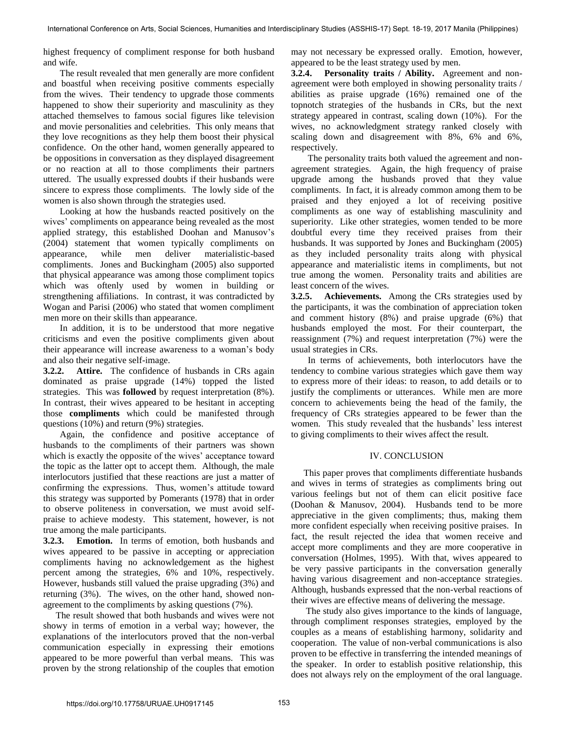highest frequency of compliment response for both husband and wife.

The result revealed that men generally are more confident and boastful when receiving positive comments especially from the wives. Their tendency to upgrade those comments happened to show their superiority and masculinity as they attached themselves to famous social figures like television and movie personalities and celebrities. This only means that they love recognitions as they help them boost their physical confidence. On the other hand, women generally appeared to be oppositions in conversation as they displayed disagreement or no reaction at all to those compliments their partners uttered. The usually expressed doubts if their husbands were sincere to express those compliments. The lowly side of the women is also shown through the strategies used.

Looking at how the husbands reacted positively on the wives' compliments on appearance being revealed as the most applied strategy, this established Doohan and Manusov"s (2004) statement that women typically compliments on appearance, while men deliver materialistic-based compliments. Jones and Buckingham (2005) also supported that physical appearance was among those compliment topics which was oftenly used by women in building or strengthening affiliations. In contrast, it was contradicted by Wogan and Parisi (2006) who stated that women compliment men more on their skills than appearance.

In addition, it is to be understood that more negative criticisms and even the positive compliments given about their appearance will increase awareness to a woman"s body and also their negative self-image.

**3.2.2. Attire.** The confidence of husbands in CRs again dominated as praise upgrade (14%) topped the listed strategies. This was **followed** by request interpretation (8%). In contrast, their wives appeared to be hesitant in accepting those **compliments** which could be manifested through questions (10%) and return (9%) strategies.

Again, the confidence and positive acceptance of husbands to the compliments of their partners was shown which is exactly the opposite of the wives' acceptance toward the topic as the latter opt to accept them. Although, the male interlocutors justified that these reactions are just a matter of confirming the expressions. Thus, women"s attitude toward this strategy was supported by Pomerants (1978) that in order to observe politeness in conversation, we must avoid selfpraise to achieve modesty. This statement, however, is not true among the male participants.

**3.2.3. Emotion.** In terms of emotion, both husbands and wives appeared to be passive in accepting or appreciation compliments having no acknowledgement as the highest percent among the strategies, 6% and 10%, respectively. However, husbands still valued the praise upgrading (3%) and returning (3%). The wives, on the other hand, showed nonagreement to the compliments by asking questions (7%).

The result showed that both husbands and wives were not showy in terms of emotion in a verbal way; however, the explanations of the interlocutors proved that the non-verbal communication especially in expressing their emotions appeared to be more powerful than verbal means. This was proven by the strong relationship of the couples that emotion

may not necessary be expressed orally. Emotion, however, appeared to be the least strategy used by men.

**3.2.4. Personality traits / Ability.** Agreement and nonagreement were both employed in showing personality traits / abilities as praise upgrade (16%) remained one of the topnotch strategies of the husbands in CRs, but the next strategy appeared in contrast, scaling down (10%). For the wives, no acknowledgment strategy ranked closely with scaling down and disagreement with 8%, 6% and 6%, respectively.

The personality traits both valued the agreement and nonagreement strategies. Again, the high frequency of praise upgrade among the husbands proved that they value compliments. In fact, it is already common among them to be praised and they enjoyed a lot of receiving positive compliments as one way of establishing masculinity and superiority. Like other strategies, women tended to be more doubtful every time they received praises from their husbands. It was supported by Jones and Buckingham (2005) as they included personality traits along with physical appearance and materialistic items in compliments, but not true among the women. Personality traits and abilities are least concern of the wives.

**3.2.5. Achievements.** Among the CRs strategies used by the participants, it was the combination of appreciation token and comment history (8%) and praise upgrade (6%) that husbands employed the most. For their counterpart, the reassignment (7%) and request interpretation (7%) were the usual strategies in CRs.

In terms of achievements, both interlocutors have the tendency to combine various strategies which gave them way to express more of their ideas: to reason, to add details or to justify the compliments or utterances. While men are more concern to achievements being the head of the family, the frequency of CRs strategies appeared to be fewer than the women. This study revealed that the husbands' less interest to giving compliments to their wives affect the result.

## IV. CONCLUSION

This paper proves that compliments differentiate husbands and wives in terms of strategies as compliments bring out various feelings but not of them can elicit positive face (Doohan & Manusov, 2004). Husbands tend to be more appreciative in the given compliments; thus, making them more confident especially when receiving positive praises. In fact, the result rejected the idea that women receive and accept more compliments and they are more cooperative in conversation (Holmes, 1995). With that, wives appeared to be very passive participants in the conversation generally having various disagreement and non-acceptance strategies. Although, husbands expressed that the non-verbal reactions of their wives are effective means of delivering the message.

 The study also gives importance to the kinds of language, through compliment responses strategies, employed by the couples as a means of establishing harmony, solidarity and cooperation. The value of non-verbal communications is also proven to be effective in transferring the intended meanings of the speaker. In order to establish positive relationship, this does not always rely on the employment of the oral language.